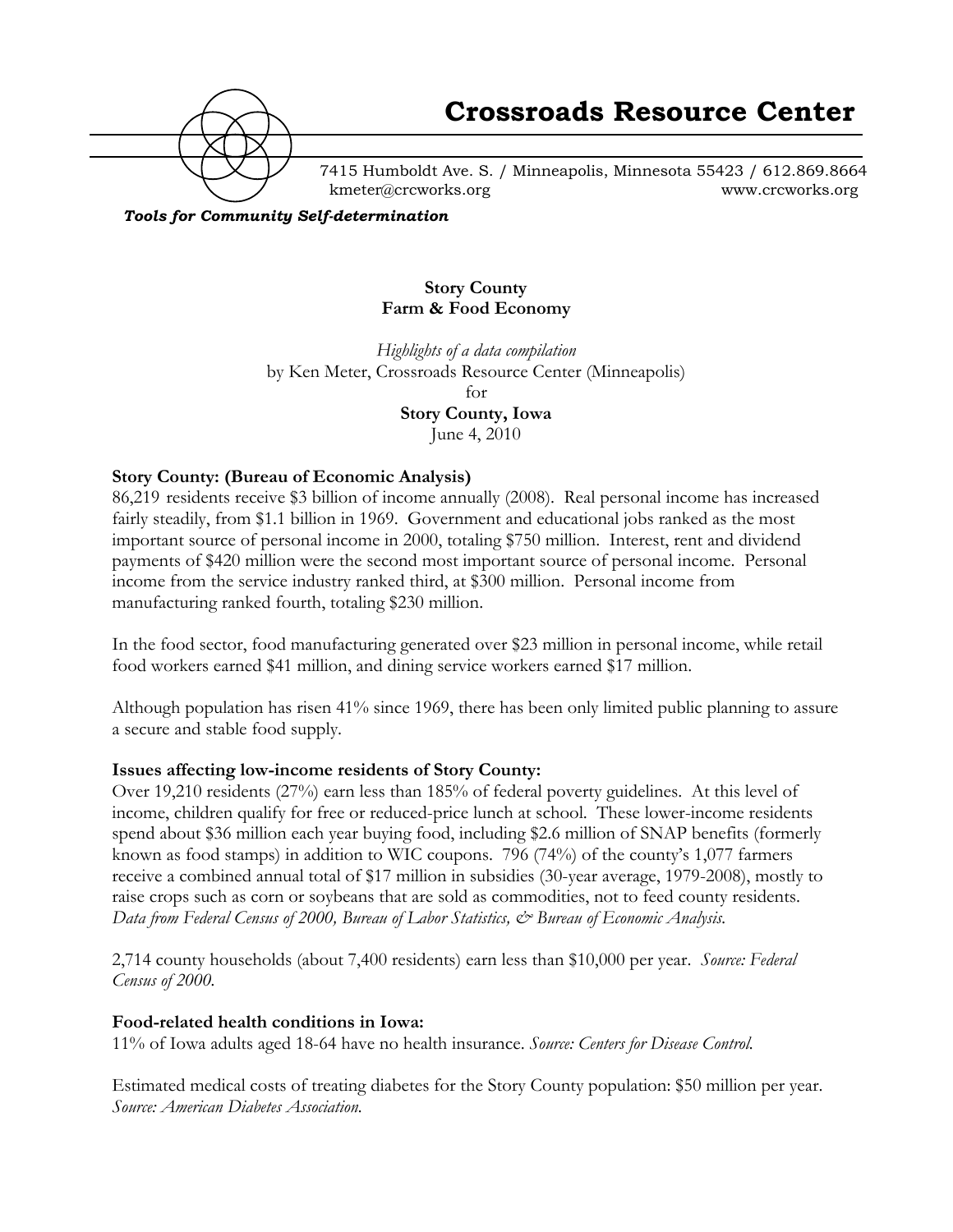

7415 Humboldt Ave. S. / Minneapolis, Minnesota 55423 / 612.869.8664 kmeter@crcworks.org www.crcworks.org

*Tools for Community Self-determination*

### **Story County Farm & Food Economy**

*Highlights of a data compilation* by Ken Meter, Crossroads Resource Center (Minneapolis) for **Story County, Iowa**

June 4, 2010

### **Story County: (Bureau of Economic Analysis)**

86,219 residents receive \$3 billion of income annually (2008). Real personal income has increased fairly steadily, from \$1.1 billion in 1969. Government and educational jobs ranked as the most important source of personal income in 2000, totaling \$750 million. Interest, rent and dividend payments of \$420 million were the second most important source of personal income. Personal income from the service industry ranked third, at \$300 million. Personal income from manufacturing ranked fourth, totaling \$230 million.

In the food sector, food manufacturing generated over \$23 million in personal income, while retail food workers earned \$41 million, and dining service workers earned \$17 million.

Although population has risen 41% since 1969, there has been only limited public planning to assure a secure and stable food supply.

### **Issues affecting low-income residents of Story County:**

Over 19,210 residents (27%) earn less than 185% of federal poverty guidelines. At this level of income, children qualify for free or reduced-price lunch at school. These lower-income residents spend about \$36 million each year buying food, including \$2.6 million of SNAP benefits (formerly known as food stamps) in addition to WIC coupons. 796 (74%) of the county's 1,077 farmers receive a combined annual total of \$17 million in subsidies (30-year average, 1979-2008), mostly to raise crops such as corn or soybeans that are sold as commodities, not to feed county residents. *Data from Federal Census of 2000, Bureau of Labor Statistics, & Bureau of Economic Analysis.*

2,714 county households (about 7,400 residents) earn less than \$10,000 per year. *Source: Federal Census of 2000.*

#### **Food-related health conditions in Iowa:**

11% of Iowa adults aged 18-64 have no health insurance. *Source: Centers for Disease Control.*

Estimated medical costs of treating diabetes for the Story County population: \$50 million per year. *Source: American Diabetes Association.*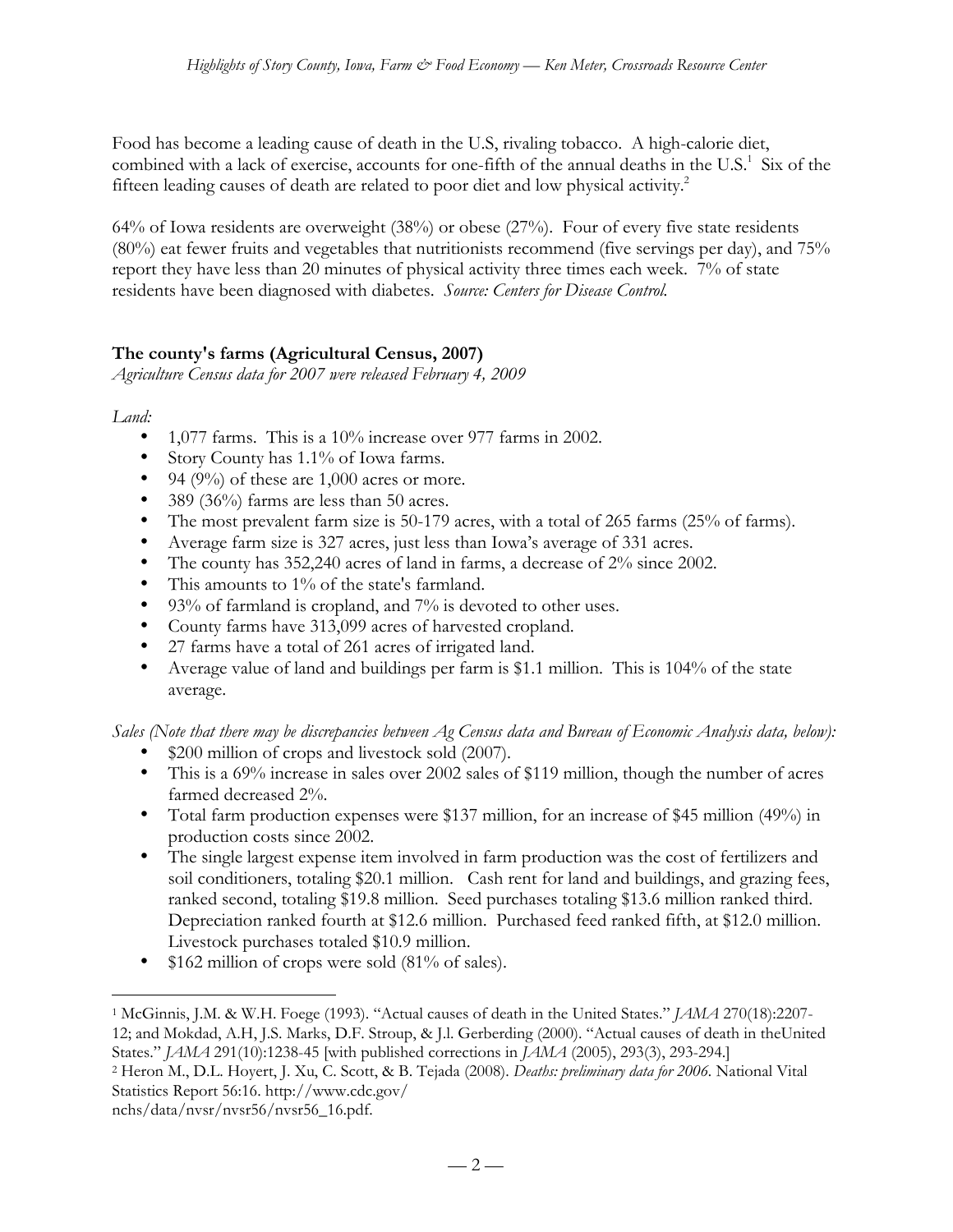Food has become a leading cause of death in the U.S, rivaling tobacco. A high-calorie diet, combined with a lack of exercise, accounts for one-fifth of the annual deaths in the U.S. $^1$  Six of the fifteen leading causes of death are related to poor diet and low physical activity.<sup>2</sup>

64% of Iowa residents are overweight (38%) or obese (27%). Four of every five state residents (80%) eat fewer fruits and vegetables that nutritionists recommend (five servings per day), and 75% report they have less than 20 minutes of physical activity three times each week. 7% of state residents have been diagnosed with diabetes. *Source: Centers for Disease Control.*

# **The county's farms (Agricultural Census, 2007)**

*Agriculture Census data for 2007 were released February 4, 2009*

*Land:*

- 1,077 farms. This is a 10% increase over 977 farms in 2002.
- Story County has 1.1% of Iowa farms.
- 94 (9%) of these are  $1,000$  acres or more.
- 389 (36%) farms are less than 50 acres.
- The most prevalent farm size is 50-179 acres, with a total of 265 farms (25% of farms).
- Average farm size is 327 acres, just less than Iowa's average of 331 acres.
- The county has 352,240 acres of land in farms, a decrease of 2% since 2002.
- This amounts to 1% of the state's farmland.
- 93% of farmland is cropland, and 7% is devoted to other uses.
- County farms have 313,099 acres of harvested cropland.
- 27 farms have a total of 261 acres of irrigated land.
- Average value of land and buildings per farm is \$1.1 million. This is 104% of the state average.

*Sales (Note that there may be discrepancies between Ag Census data and Bureau of Economic Analysis data, below):*

- \$200 million of crops and livestock sold (2007).
- This is a 69% increase in sales over 2002 sales of \$119 million, though the number of acres farmed decreased 2%.
- Total farm production expenses were \$137 million, for an increase of \$45 million (49%) in production costs since 2002.
- The single largest expense item involved in farm production was the cost of fertilizers and soil conditioners, totaling \$20.1 million. Cash rent for land and buildings, and grazing fees, ranked second, totaling \$19.8 million. Seed purchases totaling \$13.6 million ranked third. Depreciation ranked fourth at \$12.6 million. Purchased feed ranked fifth, at \$12.0 million. Livestock purchases totaled \$10.9 million.
- \$162 million of crops were sold (81% of sales).

2 Heron M., D.L. Hoyert, J. Xu, C. Scott, & B. Tejada (2008). *Deaths: preliminary data for 2006.* National Vital Statistics Report 56:16. http://www.cdc.gov/

 <sup>1</sup> McGinnis, J.M. & W.H. Foege (1993). "Actual causes of death in the United States." *JAMA* 270(18):2207- 12; and Mokdad, A.H, J.S. Marks, D.F. Stroup, & J.l. Gerberding (2000). "Actual causes of death in theUnited States." *JAMA* 291(10):1238-45 [with published corrections in *JAMA* (2005), 293(3), 293-294.]

nchs/data/nvsr/nvsr56/nvsr56\_16.pdf.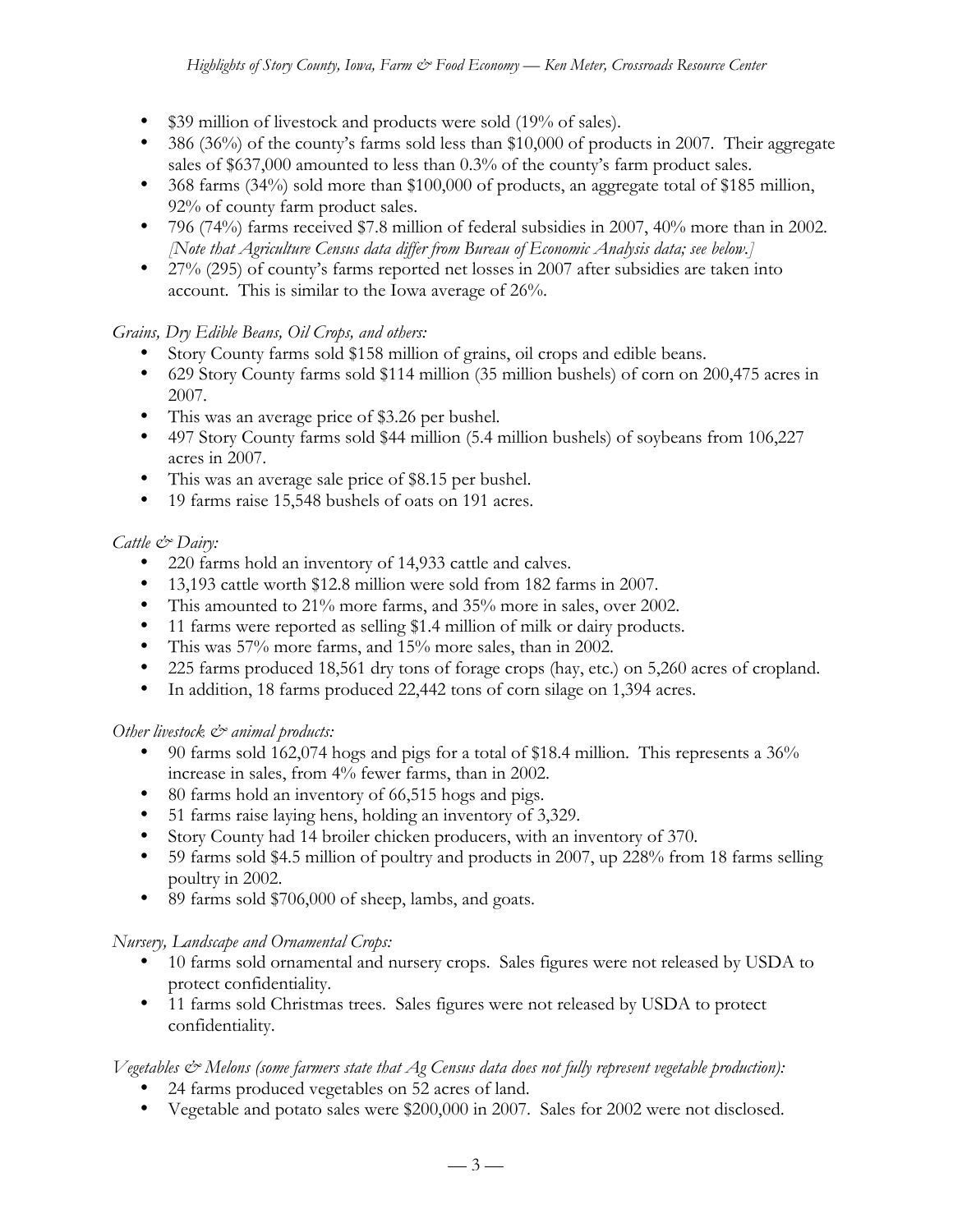- \$39 million of livestock and products were sold (19% of sales).
- 386 (36%) of the county's farms sold less than \$10,000 of products in 2007. Their aggregate sales of \$637,000 amounted to less than 0.3% of the county's farm product sales.
- 368 farms (34%) sold more than \$100,000 of products, an aggregate total of \$185 million, 92% of county farm product sales.
- 796 (74%) farms received \$7.8 million of federal subsidies in 2007, 40% more than in 2002. *[Note that Agriculture Census data differ from Bureau of Economic Analysis data; see below.]*
- 27% (295) of county's farms reported net losses in 2007 after subsidies are taken into account. This is similar to the Iowa average of 26%.

# *Grains, Dry Edible Beans, Oil Crops, and others:*

- Story County farms sold \$158 million of grains, oil crops and edible beans.
- 629 Story County farms sold \$114 million (35 million bushels) of corn on 200,475 acres in 2007.
- This was an average price of \$3.26 per bushel.
- 497 Story County farms sold \$44 million (5.4 million bushels) of soybeans from 106,227 acres in 2007.
- This was an average sale price of \$8.15 per bushel.
- 19 farms raise 15,548 bushels of oats on 191 acres.

# *Cattle & Dairy:*

- 220 farms hold an inventory of 14,933 cattle and calves.
- 13,193 cattle worth \$12.8 million were sold from 182 farms in 2007.
- This amounted to 21% more farms, and 35% more in sales, over 2002.
- 11 farms were reported as selling \$1.4 million of milk or dairy products.
- This was 57% more farms, and 15% more sales, than in 2002.
- 225 farms produced 18,561 dry tons of forage crops (hay, etc.) on 5,260 acres of cropland.
- In addition, 18 farms produced 22,442 tons of corn silage on 1,394 acres.

## *Other livestock*  $\mathcal{Q}$  *animal products:*

- 90 farms sold 162,074 hogs and pigs for a total of \$18.4 million. This represents a 36% increase in sales, from 4% fewer farms, than in 2002.
- 80 farms hold an inventory of 66,515 hogs and pigs.
- 51 farms raise laying hens, holding an inventory of 3,329.
- Story County had 14 broiler chicken producers, with an inventory of 370.
- 59 farms sold \$4.5 million of poultry and products in 2007, up 228% from 18 farms selling poultry in 2002.
- 89 farms sold \$706,000 of sheep, lambs, and goats.

## *Nursery, Landscape and Ornamental Crops:*

- 10 farms sold ornamental and nursery crops. Sales figures were not released by USDA to protect confidentiality.
- 11 farms sold Christmas trees. Sales figures were not released by USDA to protect confidentiality.

## *Vegetables & Melons (some farmers state that Ag Census data does not fully represent vegetable production):*

- 24 farms produced vegetables on 52 acres of land.
- Vegetable and potato sales were \$200,000 in 2007. Sales for 2002 were not disclosed.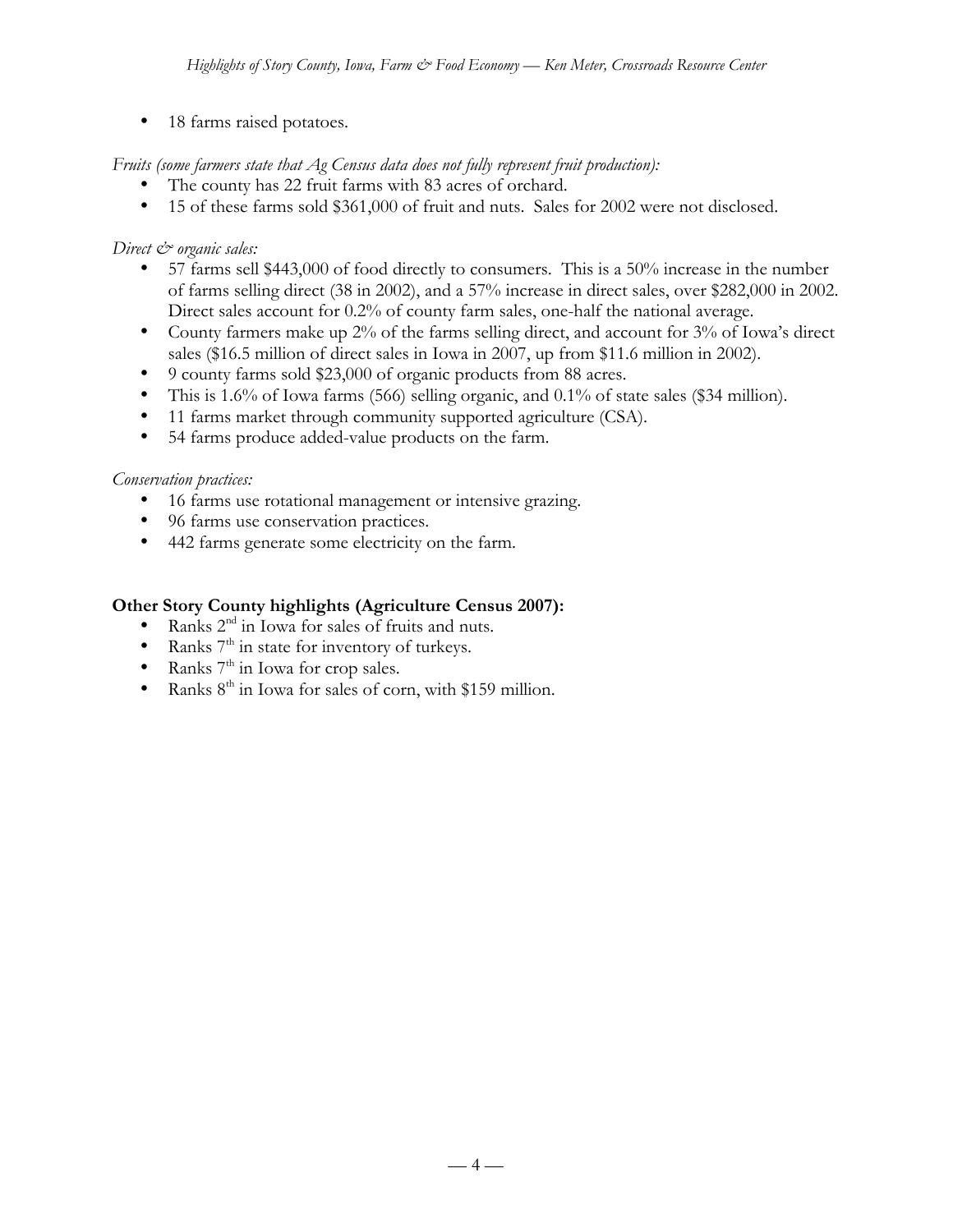• 18 farms raised potatoes.

## *Fruits (some farmers state that Ag Census data does not fully represent fruit production):*

- The county has 22 fruit farms with 83 acres of orchard.<br>• 15 of these farms sold \$361,000 of fruit and nuts. Sales
- 15 of these farms sold \$361,000 of fruit and nuts. Sales for 2002 were not disclosed.

## *Direct & organic sales:*

- 57 farms sell \$443,000 of food directly to consumers. This is a 50% increase in the number of farms selling direct (38 in 2002), and a 57% increase in direct sales, over \$282,000 in 2002. Direct sales account for 0.2% of county farm sales, one-half the national average.
- County farmers make up 2% of the farms selling direct, and account for 3% of Iowa's direct sales (\$16.5 million of direct sales in Iowa in 2007, up from \$11.6 million in 2002).
- 9 county farms sold \$23,000 of organic products from 88 acres.
- This is 1.6% of Iowa farms (566) selling organic, and 0.1% of state sales (\$34 million).
- 11 farms market through community supported agriculture (CSA).
- 54 farms produce added-value products on the farm.

### *Conservation practices:*

- 16 farms use rotational management or intensive grazing.
- 96 farms use conservation practices.
- 442 farms generate some electricity on the farm.

### **Other Story County highlights (Agriculture Census 2007):**

- Ranks 2<sup>nd</sup> in Iowa for sales of fruits and nuts.
- Ranks  $7<sup>th</sup>$  in state for inventory of turkeys.
- Ranks  $7<sup>th</sup>$  in Iowa for crop sales.
- Ranks  $8<sup>th</sup>$  in Iowa for sales of corn, with \$159 million.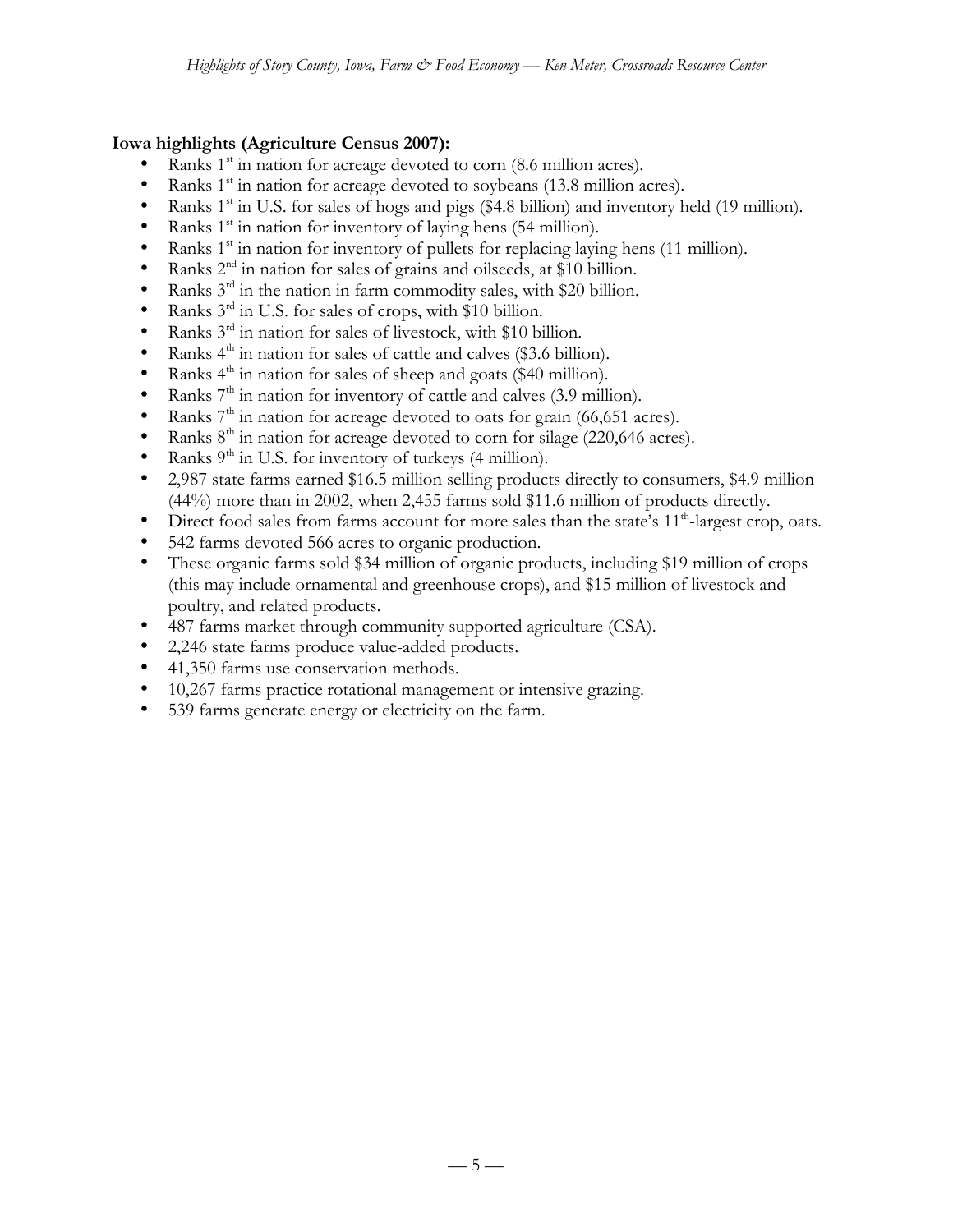## **Iowa highlights (Agriculture Census 2007):**

- Ranks  $1<sup>st</sup>$  in nation for acreage devoted to corn (8.6 million acres).
- Ranks  $1<sup>st</sup>$  in nation for acreage devoted to soybeans (13.8 million acres).
- Ranks  $1<sup>st</sup>$  in U.S. for sales of hogs and pigs (\$4.8 billion) and inventory held (19 million).
- Ranks  $1<sup>st</sup>$  in nation for inventory of laying hens (54 million).
- Ranks 1<sup>st</sup> in nation for inventory of pullets for replacing laying hens (11 million).
- Ranks  $2<sup>nd</sup>$  in nation for sales of grains and oilseeds, at \$10 billion.
- Ranks  $3^{rd}$  in the nation in farm commodity sales, with \$20 billion.<br>• Ranks  $3^{rd}$  in U.S. for sales of crops, with \$10 billion.
- Ranks  $3<sup>rd</sup>$  in U.S. for sales of crops, with \$10 billion.
- Ranks  $3^{rd}$  in nation for sales of livestock, with \$10 billion.<br>• Ranks  $4^{th}$  in nation for sales of cattle and calves (\$3.6 billion)
- Ranks  $4<sup>th</sup>$  in nation for sales of cattle and calves (\$3.6 billion).
- Ranks  $4<sup>th</sup>$  in nation for sales of sheep and goats (\$40 million).
- Ranks  $7<sup>th</sup>$  in nation for inventory of cattle and calves (3.9 million).<br>• Ranks  $7<sup>th</sup>$  in nation for acreage devoted to oats for grain (66.651 as
- Ranks  $7<sup>th</sup>$  in nation for acreage devoted to oats for grain (66,651 acres).
- Ranks  $8<sup>th</sup>$  in nation for acreage devoted to corn for silage (220,646 acres).
- Ranks  $9<sup>th</sup>$  in U.S. for inventory of turkeys (4 million).
- 2,987 state farms earned \$16.5 million selling products directly to consumers, \$4.9 million (44%) more than in 2002, when 2,455 farms sold \$11.6 million of products directly.
- Direct food sales from farms account for more sales than the state's  $11<sup>th</sup>$ -largest crop, oats.
- 542 farms devoted 566 acres to organic production.
- These organic farms sold \$34 million of organic products, including \$19 million of crops (this may include ornamental and greenhouse crops), and \$15 million of livestock and poultry, and related products.
- 487 farms market through community supported agriculture (CSA).
- 2,246 state farms produce value-added products.
- 41,350 farms use conservation methods.
- 10,267 farms practice rotational management or intensive grazing.
- 539 farms generate energy or electricity on the farm.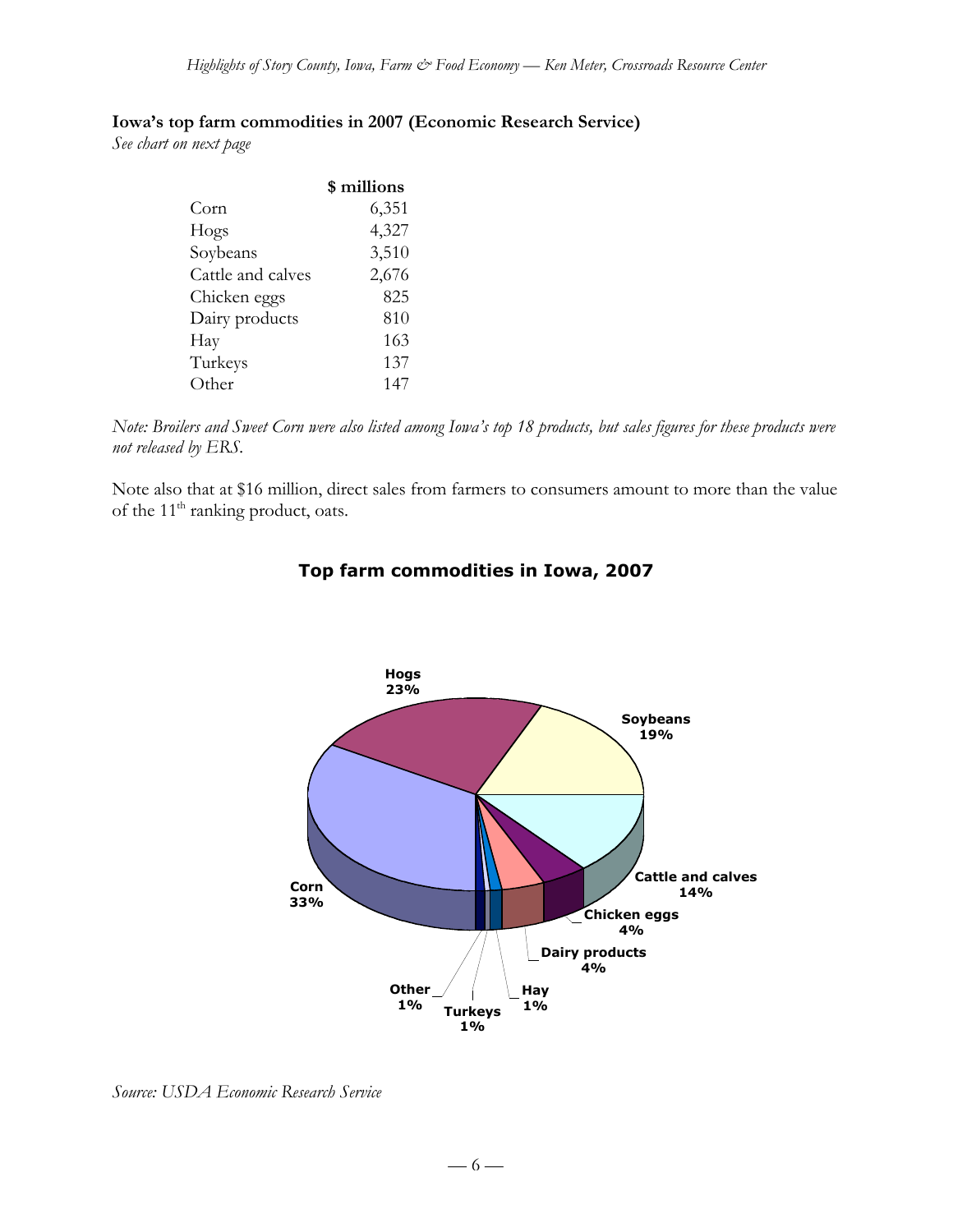### **Iowa's top farm commodities in 2007 (Economic Research Service)**

*See chart on next page*

|                   | \$ millions |
|-------------------|-------------|
| Corn              | 6,351       |
| Hogs              | 4,327       |
| Soybeans          | 3,510       |
| Cattle and calves | 2,676       |
| Chicken eggs      | 825         |
| Dairy products    | 810         |
| Hay               | 163         |
| Turkeys           | 137         |
| Other             | 147         |

*Note: Broilers and Sweet Corn were also listed among Iowa's top 18 products, but sales figures for these products were not released by ERS.*

Note also that at \$16 million, direct sales from farmers to consumers amount to more than the value of the 11<sup>th</sup> ranking product, oats.



## **Top farm commodities in Iowa, 2007**

*Source: USDA Economic Research Service*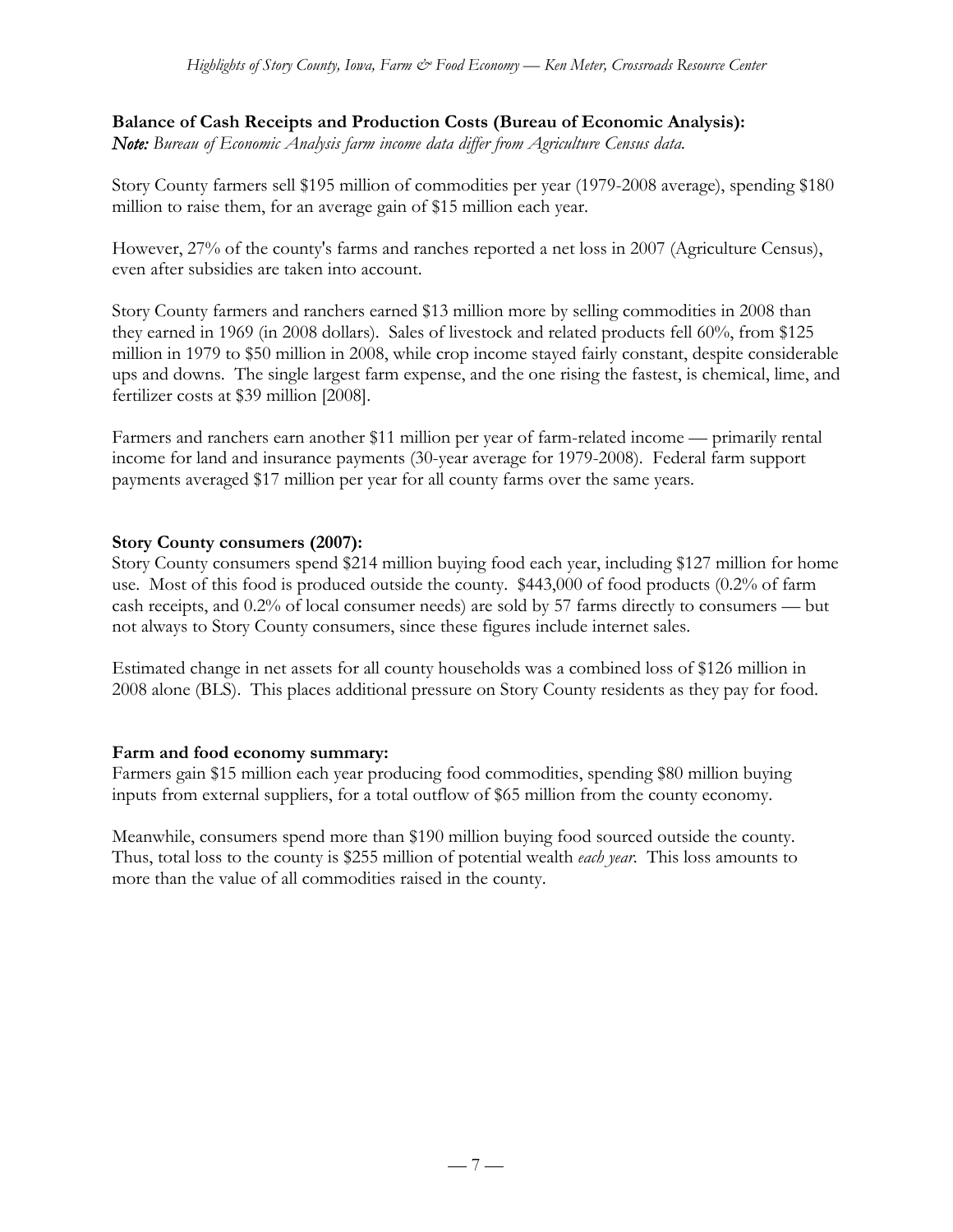## **Balance of Cash Receipts and Production Costs (Bureau of Economic Analysis):**

*Note: Bureau of Economic Analysis farm income data differ from Agriculture Census data.*

Story County farmers sell \$195 million of commodities per year (1979-2008 average), spending \$180 million to raise them, for an average gain of \$15 million each year.

However, 27% of the county's farms and ranches reported a net loss in 2007 (Agriculture Census), even after subsidies are taken into account.

Story County farmers and ranchers earned \$13 million more by selling commodities in 2008 than they earned in 1969 (in 2008 dollars). Sales of livestock and related products fell 60%, from \$125 million in 1979 to \$50 million in 2008, while crop income stayed fairly constant, despite considerable ups and downs. The single largest farm expense, and the one rising the fastest, is chemical, lime, and fertilizer costs at \$39 million [2008].

Farmers and ranchers earn another \$11 million per year of farm-related income — primarily rental income for land and insurance payments (30-year average for 1979-2008). Federal farm support payments averaged \$17 million per year for all county farms over the same years.

### **Story County consumers (2007):**

Story County consumers spend \$214 million buying food each year, including \$127 million for home use. Most of this food is produced outside the county. \$443,000 of food products (0.2% of farm cash receipts, and 0.2% of local consumer needs) are sold by 57 farms directly to consumers — but not always to Story County consumers, since these figures include internet sales.

Estimated change in net assets for all county households was a combined loss of \$126 million in 2008 alone (BLS). This places additional pressure on Story County residents as they pay for food.

### **Farm and food economy summary:**

Farmers gain \$15 million each year producing food commodities, spending \$80 million buying inputs from external suppliers, for a total outflow of \$65 million from the county economy.

Meanwhile, consumers spend more than \$190 million buying food sourced outside the county. Thus, total loss to the county is \$255 million of potential wealth *each year*. This loss amounts to more than the value of all commodities raised in the county.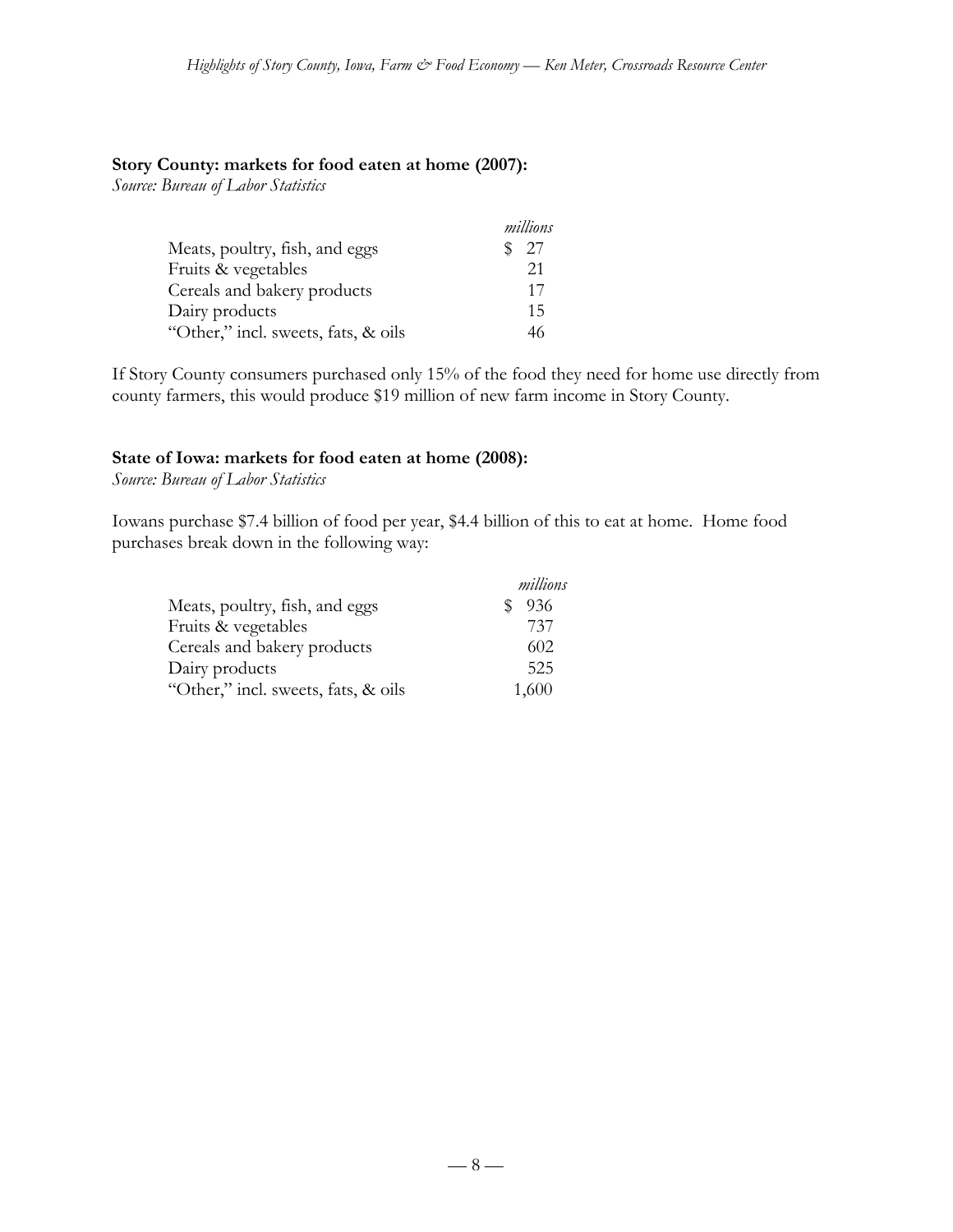#### **Story County: markets for food eaten at home (2007):**

*Source: Bureau of Labor Statistics*

|                                     | millions |
|-------------------------------------|----------|
| Meats, poultry, fish, and eggs      | \$27     |
| Fruits & vegetables                 | 21       |
| Cereals and bakery products         | 17       |
| Dairy products                      | 15       |
| "Other," incl. sweets, fats, & oils | 46       |

If Story County consumers purchased only 15% of the food they need for home use directly from county farmers, this would produce \$19 million of new farm income in Story County.

#### **State of Iowa: markets for food eaten at home (2008):**

*Source: Bureau of Labor Statistics*

Iowans purchase \$7.4 billion of food per year, \$4.4 billion of this to eat at home. Home food purchases break down in the following way:

|                                     | millions |
|-------------------------------------|----------|
| Meats, poultry, fish, and eggs      | 936      |
| Fruits & vegetables                 | 737      |
| Cereals and bakery products         | 602      |
| Dairy products                      | 525      |
| "Other," incl. sweets, fats, & oils | 1,600    |